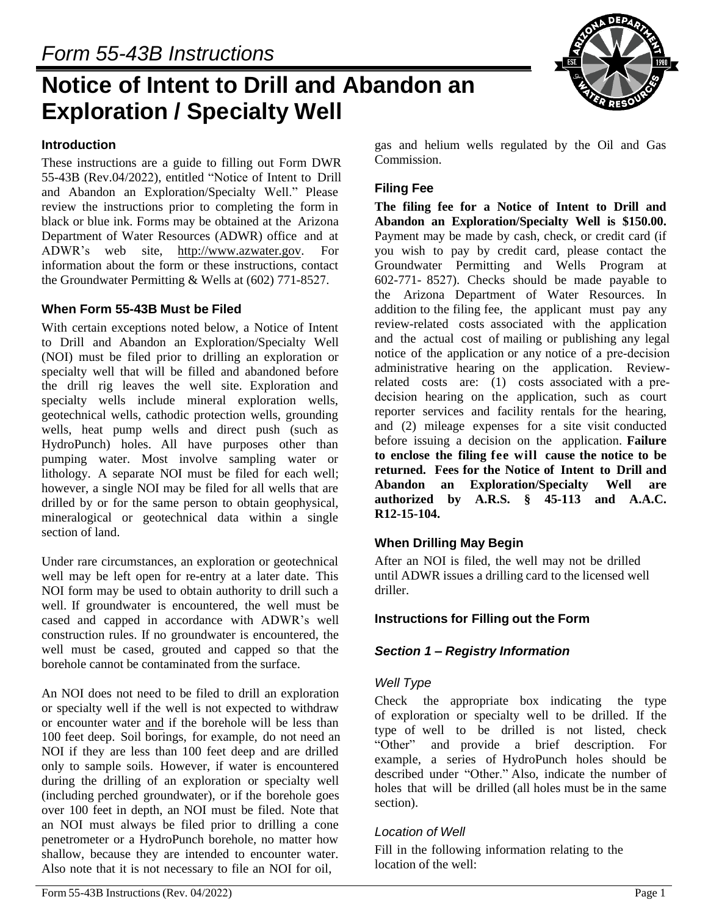# **Notice of Intent to Drill and Abandon an Exploration / Specialty Well**

#### **Introduction**

These instructions are a guide to filling out Form DWR 55-43B (Rev.04/2022), entitled "Notice of Intent to Drill and Abandon an Exploration/Specialty Well." Please review the instructions prior to completing the form in black or blue ink. Forms may be obtained at the Arizona Department of Water Resources (ADWR) office and at ADWR's web site, [http://www.azwater.gov.](http://www.azwater.gov/) For information about the form or these instructions, contact the Groundwater Permitting & Wells at (602) 771-8527.

#### **When Form 55-43B Must be Filed**

With certain exceptions noted below, a Notice of Intent to Drill and Abandon an Exploration/Specialty Well (NOI) must be filed prior to drilling an exploration or specialty well that will be filled and abandoned before the drill rig leaves the well site. Exploration and specialty wells include mineral exploration wells, geotechnical wells, cathodic protection wells, grounding wells, heat pump wells and direct push (such as HydroPunch) holes. All have purposes other than pumping water. Most involve sampling water or lithology. A separate NOI must be filed for each well; however, a single NOI may be filed for all wells that are drilled by or for the same person to obtain geophysical, mineralogical or geotechnical data within a single section of land.

Under rare circumstances, an exploration or geotechnical well may be left open for re-entry at a later date. This NOI form may be used to obtain authority to drill such a well. If groundwater is encountered, the well must be cased and capped in accordance with ADWR's well construction rules. If no groundwater is encountered, the well must be cased, grouted and capped so that the borehole cannot be contaminated from the surface.

An NOI does not need to be filed to drill an exploration or specialty well if the well is not expected to withdraw or encounter water and if the borehole will be less than 100 feet deep. Soil borings, for example, do not need an NOI if they are less than 100 feet deep and are drilled only to sample soils. However, if water is encountered during the drilling of an exploration or specialty well (including perched groundwater), or if the borehole goes over 100 feet in depth, an NOI must be filed. Note that an NOI must always be filed prior to drilling a cone penetrometer or a HydroPunch borehole, no matter how shallow, because they are intended to encounter water. Also note that it is not necessary to file an NOI for oil,

## **Filing Fee**

**The filing fee for a Notice of Intent to Drill and Abandon an Exploration/Specialty Well is \$150.00.**  Payment may be made by cash, check, or credit card (if you wish to pay by credit card, please contact the Groundwater Permitting and Wells Program at 602-771- 8527). Checks should be made payable to the Arizona Department of Water Resources. In addition to the filing fee, the applicant must pay any review-related costs associated with the application and the actual cost of mailing or publishing any legal notice of the application or any notice of a pre-decision administrative hearing on the application. Reviewrelated costs are: (1) costs associated with a predecision hearing on the application, such as court reporter services and facility rentals for the hearing, and (2) mileage expenses for a site visit conducted before issuing a decision on the application. **Failure to enclose the filing fee will cause the notice to be returned. Fees for the Notice of Intent to Drill and Abandon an Exploration/Specialty Well are authorized by A.R.S. § 45-113 and A.A.C. R12-15-104.**

## **When Drilling May Begin**

After an NOI is filed, the well may not be drilled until ADWR issues a drilling card to the licensed well driller.

#### **Instructions for Filling out the Form**

## *Section 1 – Registry Information*

#### *Well Type*

Check the appropriate box indicating the type of exploration or specialty well to be drilled. If the type of well to be drilled is not listed, check "Other" and provide a brief description. For and provide a brief description. For example, a series of HydroPunch holes should be described under "Other." Also, indicate the number of holes that will be drilled (all holes must be in the same section).

#### *Location of Well*

Fill in the following information relating to the location of the well:

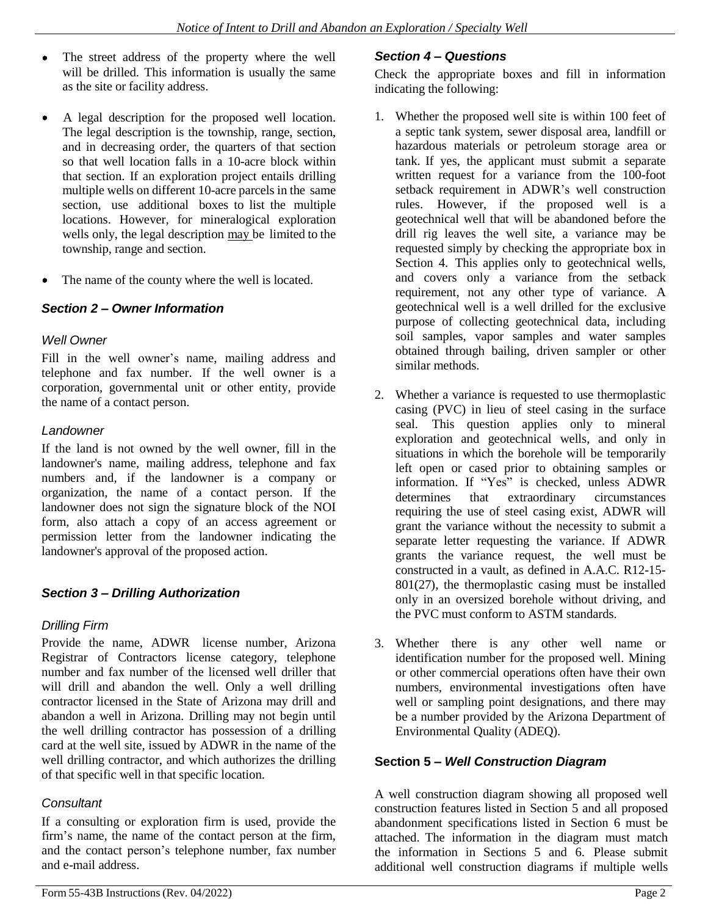- The street address of the property where the well will be drilled. This information is usually the same as the site or facility address.
- A legal description for the proposed well location.  $\bullet$ The legal description is the township, range, section, and in decreasing order, the quarters of that section so that well location falls in a 10-acre block within that section. If an exploration project entails drilling multiple wells on different 10-acre parcels in the same section, use additional boxes to list the multiple locations. However, for mineralogical exploration wells only, the legal description may be limited to the township, range and section.
- $\bullet$ The name of the county where the well is located.

# *Section 2 – Owner Information*

#### *Well Owner*

Fill in the well owner's name, mailing address and telephone and fax number. If the well owner is a corporation, governmental unit or other entity, provide the name of a contact person.

#### *Landowner*

If the land is not owned by the well owner, fill in the landowner's name, mailing address, telephone and fax numbers and, if the landowner is a company or organization, the name of a contact person. If the landowner does not sign the signature block of the NOI form, also attach a copy of an access agreement or permission letter from the landowner indicating the landowner's approval of the proposed action.

## *Section 3 – Drilling Authorization*

## *Drilling Firm*

Provide the name, ADWR license number, Arizona Registrar of Contractors license category, telephone number and fax number of the licensed well driller that will drill and abandon the well. Only a well drilling contractor licensed in the State of Arizona may drill and abandon a well in Arizona. Drilling may not begin until the well drilling contractor has possession of a drilling card at the well site, issued by ADWR in the name of the well drilling contractor, and which authorizes the drilling of that specific well in that specific location.

## *Consultant*

If a consulting or exploration firm is used, provide the firm's name, the name of the contact person at the firm, and the contact person's telephone number, fax number and e-mail address.

# *Section 4 – Questions*

Check the appropriate boxes and fill in information indicating the following:

- 1. Whether the proposed well site is within 100 feet of a septic tank system, sewer disposal area, landfill or hazardous materials or petroleum storage area or tank. If yes, the applicant must submit a separate written request for a variance from the 100-foot setback requirement in ADWR's well construction rules. However, if the proposed well is a geotechnical well that will be abandoned before the drill rig leaves the well site, a variance may be requested simply by checking the appropriate box in Section 4. This applies only to geotechnical wells, and covers only a variance from the setback requirement, not any other type of variance. A geotechnical well is a well drilled for the exclusive purpose of collecting geotechnical data, including soil samples, vapor samples and water samples obtained through bailing, driven sampler or other similar methods.
- 2. Whether a variance is requested to use thermoplastic casing (PVC) in lieu of steel casing in the surface seal. This question applies only to mineral exploration and geotechnical wells, and only in situations in which the borehole will be temporarily left open or cased prior to obtaining samples or information. If "Yes" is checked, unless ADWR determines that extraordinary circumstances requiring the use of steel casing exist, ADWR will grant the variance without the necessity to submit a separate letter requesting the variance. If ADWR grants the variance request, the well must be constructed in a vault, as defined in A.A.C. R12-15- 801(27), the thermoplastic casing must be installed only in an oversized borehole without driving, and the PVC must conform to ASTM standards.
- 3. Whether there is any other well name or identification number for the proposed well. Mining or other commercial operations often have their own numbers, environmental investigations often have well or sampling point designations, and there may be a number provided by the Arizona Department of Environmental Quality (ADEQ).

## **Section 5 –** *Well Construction Diagram*

A well construction diagram showing all proposed well construction features listed in Section 5 and all proposed abandonment specifications listed in Section 6 must be attached. The information in the diagram must match the information in Sections 5 and 6. Please submit additional well construction diagrams if multiple wells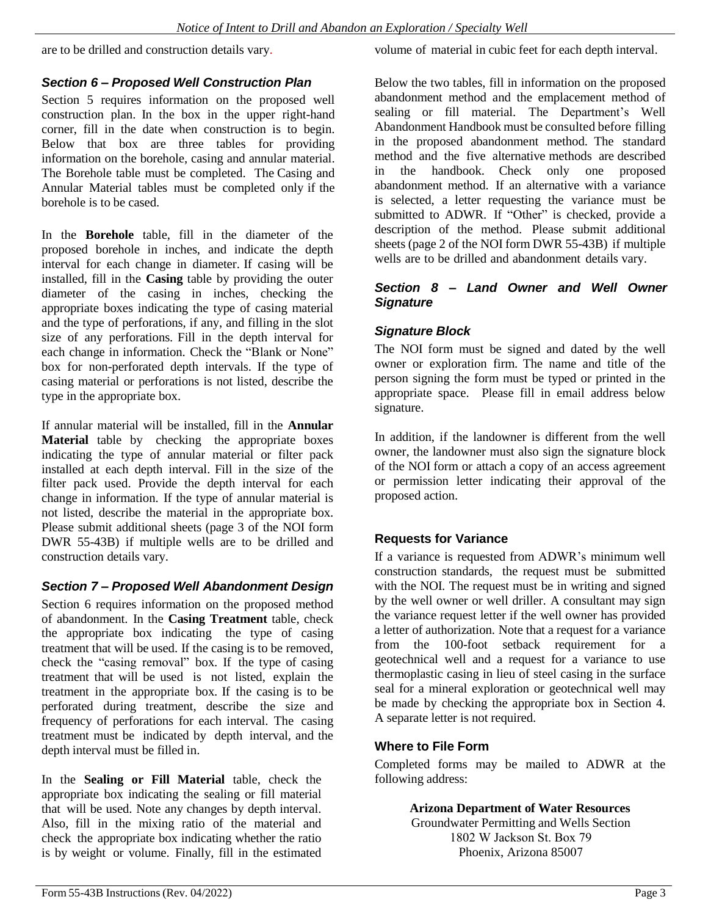are to be drilled and construction details vary.

volume of material in cubic feet for each depth interval.

# *Section 6 – Proposed Well Construction Plan*

Section 5 requires information on the proposed well construction plan. In the box in the upper right-hand corner, fill in the date when construction is to begin. Below that box are three tables for providing information on the borehole, casing and annular material. The Borehole table must be completed. The Casing and Annular Material tables must be completed only if the borehole is to be cased.

In the **Borehole** table, fill in the diameter of the proposed borehole in inches, and indicate the depth interval for each change in diameter. If casing will be installed, fill in the **Casing** table by providing the outer diameter of the casing in inches, checking the appropriate boxes indicating the type of casing material and the type of perforations, if any, and filling in the slot size of any perforations. Fill in the depth interval for each change in information. Check the "Blank or None" box for non-perforated depth intervals. If the type of casing material or perforations is not listed, describe the type in the appropriate box.

If annular material will be installed, fill in the **Annular Material** table by checking the appropriate boxes indicating the type of annular material or filter pack installed at each depth interval. Fill in the size of the filter pack used. Provide the depth interval for each change in information. If the type of annular material is not listed, describe the material in the appropriate box. Please submit additional sheets (page 3 of the NOI form DWR 55-43B) if multiple wells are to be drilled and construction details vary.

# *Section 7 – Proposed Well Abandonment Design*

Section 6 requires information on the proposed method of abandonment. In the **Casing Treatment** table, check the appropriate box indicating the type of casing treatment that will be used. If the casing is to be removed, check the "casing removal" box. If the type of casing treatment that will be used is not listed, explain the treatment in the appropriate box. If the casing is to be perforated during treatment, describe the size and frequency of perforations for each interval. The casing treatment must be indicated by depth interval, and the depth interval must be filled in.

In the **Sealing or Fill Material** table, check the appropriate box indicating the sealing or fill material that will be used. Note any changes by depth interval. Also, fill in the mixing ratio of the material and check the appropriate box indicating whether the ratio is by weight or volume. Finally, fill in the estimated

Below the two tables, fill in information on the proposed abandonment method and the emplacement method of sealing or fill material. The Department's Well Abandonment Handbook must be consulted before filling in the proposed abandonment method. The standard method and the five alternative methods are described in the handbook. Check only one proposed abandonment method. If an alternative with a variance is selected, a letter requesting the variance must be submitted to ADWR. If "Other" is checked, provide a description of the method. Please submit additional sheets (page 2 of the NOI form DWR 55-43B) if multiple wells are to be drilled and abandonment details vary.

#### *Section 8 – Land Owner and Well Owner Signature*

# *Signature Block*

The NOI form must be signed and dated by the well owner or exploration firm. The name and title of the person signing the form must be typed or printed in the appropriate space. Please fill in email address below signature.

In addition, if the landowner is different from the well owner, the landowner must also sign the signature block of the NOI form or attach a copy of an access agreement or permission letter indicating their approval of the proposed action.

# **Requests for Variance**

If a variance is requested from ADWR's minimum well construction standards, the request must be submitted with the NOI. The request must be in writing and signed by the well owner or well driller. A consultant may sign the variance request letter if the well owner has provided a letter of authorization. Note that a request for a variance from the 100-foot setback requirement for a geotechnical well and a request for a variance to use thermoplastic casing in lieu of steel casing in the surface seal for a mineral exploration or geotechnical well may be made by checking the appropriate box in Section 4. A separate letter is not required.

## **Where to File Form**

Completed forms may be mailed to ADWR at the following address:

**Arizona Department of Water Resources**

Groundwater Permitting and Wells Section 1802 W Jackson St. Box 79 Phoenix, Arizona 85007